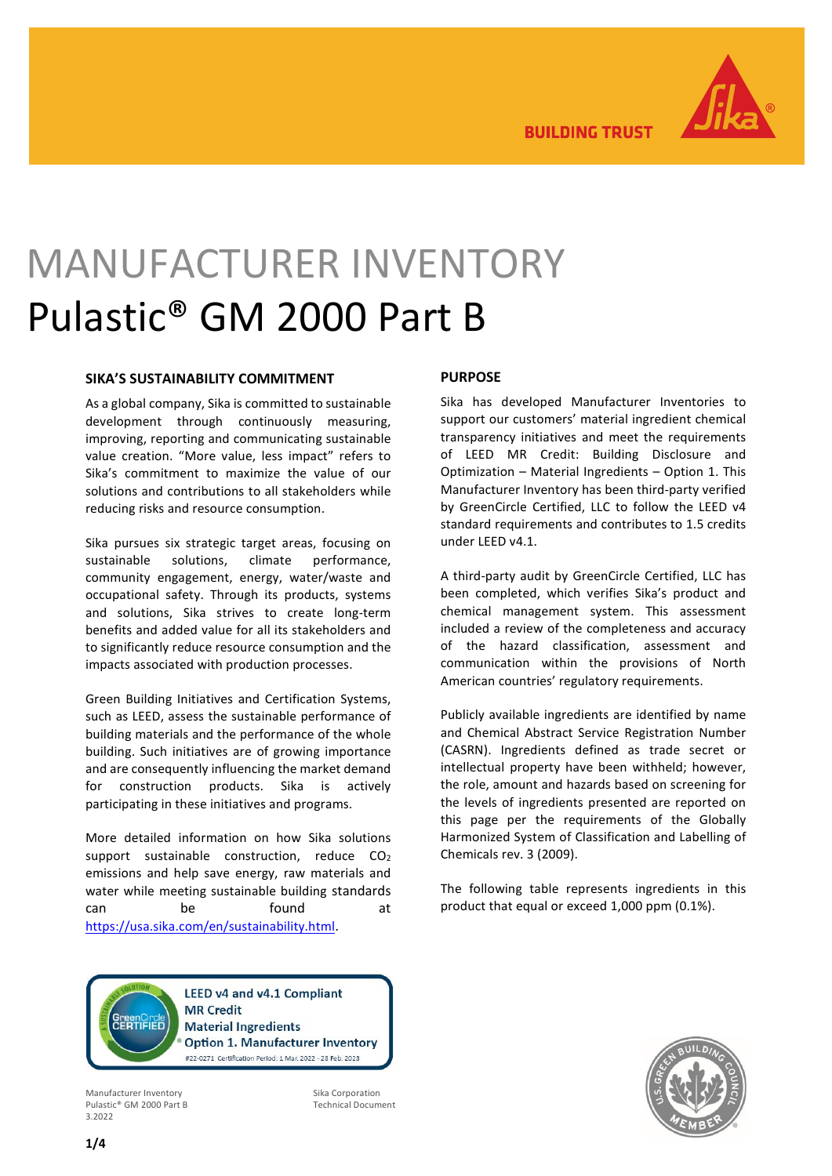

**BUILDING TRUST** 

# MANUFACTURER INVENTORY Pulastic® GM 2000 Part B

### **SIKA'S SUSTAINABILITY COMMITMENT**

As a global company, Sika is committed to sustainable development through continuously measuring, improving, reporting and communicating sustainable value creation. "More value, less impact" refers to Sika's commitment to maximize the value of our solutions and contributions to all stakeholders while reducing risks and resource consumption.

Sika pursues six strategic target areas, focusing on sustainable solutions, climate performance, community engagement, energy, water/waste and occupational safety. Through its products, systems and solutions, Sika strives to create long-term benefits and added value for all its stakeholders and to significantly reduce resource consumption and the impacts associated with production processes.

Green Building Initiatives and Certification Systems, such as LEED, assess the sustainable performance of building materials and the performance of the whole building. Such initiatives are of growing importance and are consequently influencing the market demand for construction products. Sika is actively participating in these initiatives and programs.

More detailed information on how Sika solutions support sustainable construction, reduce CO<sub>2</sub> emissions and help save energy, raw materials and water while meeting sustainable building standards can be found at [https://usa.sika.com/en/sustainability.html.](https://usa.sika.com/en/sustainability.html)

#### **PURPOSE**

Sika has developed Manufacturer Inventories to support our customers' material ingredient chemical transparency initiatives and meet the requirements of LEED MR Credit: Building Disclosure and Optimization – Material Ingredients – Option 1. This Manufacturer Inventory has been third-party verified by GreenCircle Certified, LLC to follow the LEED v4 standard requirements and contributes to 1.5 credits under LEED v4.1.

A third-party audit by GreenCircle Certified, LLC has been completed, which verifies Sika's product and chemical management system. This assessment included a review of the completeness and accuracy of the hazard classification, assessment and communication within the provisions of North American countries' regulatory requirements.

Publicly available ingredients are identified by name and Chemical Abstract Service Registration Number (CASRN). Ingredients defined as trade secret or intellectual property have been withheld; however, the role, amount and hazards based on screening for the levels of ingredients presented are reported on this page per the requirements of the Globally Harmonized System of Classification and Labelling of Chemicals rev. 3 (2009).

The following table represents ingredients in this product that equal or exceed 1,000 ppm (0.1%).

**LEED v4 and v4.1 Compliant MR Credit** reen∪ircie<br>FRTIFIFD **Material Ingredients Option 1. Manufacturer Inventory** #22-0271 Certification Period: 1 Mar. 2022 - 28 Feb. 2023

Manufacturer Inventory Pulastic® GM 2000 Part B 3.2022

Sika Corporation Technical Document